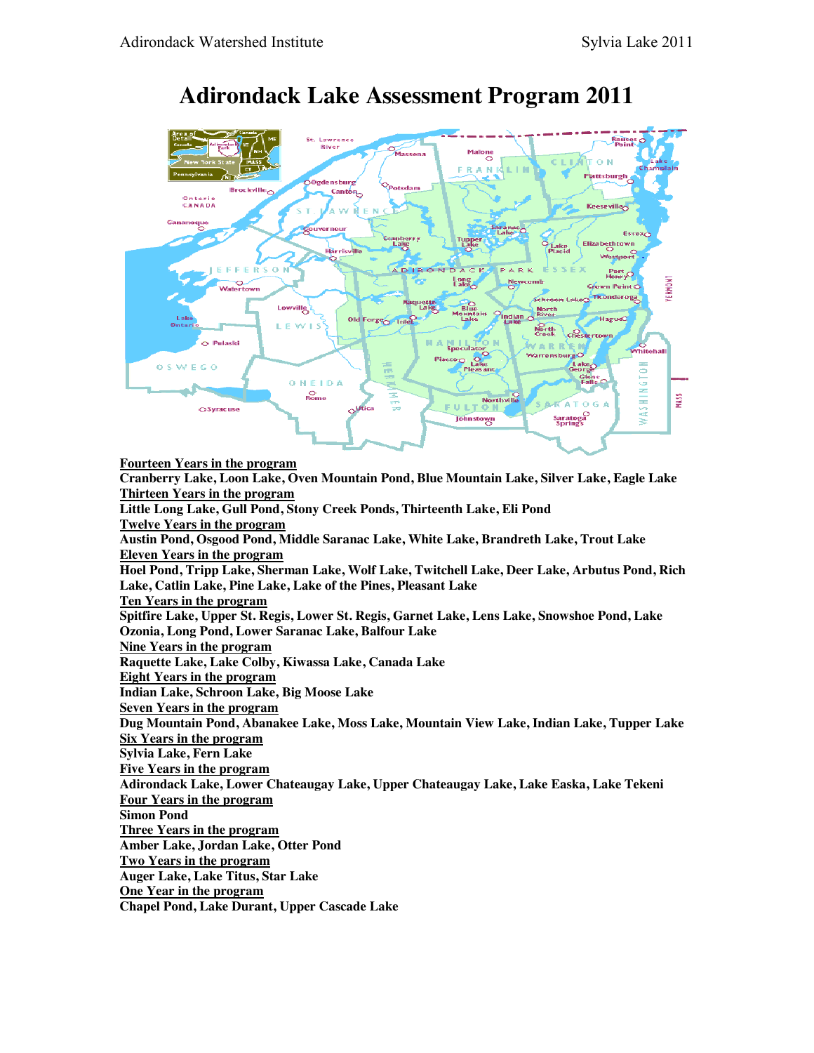

## **Adirondack Lake Assessment Program 2011**

**Fourteen Years in the program Cranberry Lake, Loon Lake, Oven Mountain Pond, Blue Mountain Lake, Silver Lake, Eagle Lake Thirteen Years in the program Little Long Lake, Gull Pond, Stony Creek Ponds, Thirteenth Lake, Eli Pond Twelve Years in the program Austin Pond, Osgood Pond, Middle Saranac Lake, White Lake, Brandreth Lake, Trout Lake Eleven Years in the program Hoel Pond, Tripp Lake, Sherman Lake, Wolf Lake, Twitchell Lake, Deer Lake, Arbutus Pond, Rich Lake, Catlin Lake, Pine Lake, Lake of the Pines, Pleasant Lake Ten Years in the program Spitfire Lake, Upper St. Regis, Lower St. Regis, Garnet Lake, Lens Lake, Snowshoe Pond, Lake Ozonia, Long Pond, Lower Saranac Lake, Balfour Lake Nine Years in the program Raquette Lake, Lake Colby, Kiwassa Lake, Canada Lake Eight Years in the program Indian Lake, Schroon Lake, Big Moose Lake Seven Years in the program Dug Mountain Pond, Abanakee Lake, Moss Lake, Mountain View Lake, Indian Lake, Tupper Lake Six Years in the program Sylvia Lake, Fern Lake Five Years in the program Adirondack Lake, Lower Chateaugay Lake, Upper Chateaugay Lake, Lake Easka, Lake Tekeni Four Years in the program Simon Pond Three Years in the program Amber Lake, Jordan Lake, Otter Pond Two Years in the program Auger Lake, Lake Titus, Star Lake One Year in the program Chapel Pond, Lake Durant, Upper Cascade Lake**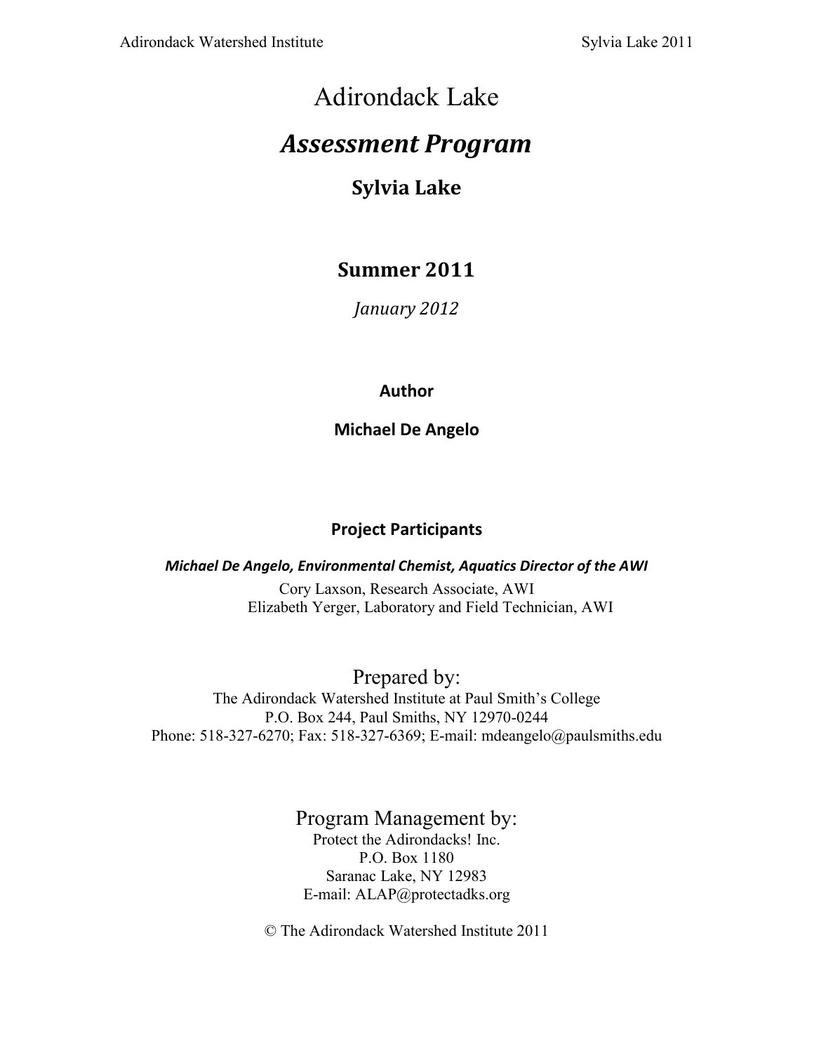## Adirondack Lake

## *Assessment Program*

## **Sylvia Lake**

## **Summer 2011**

*January 2012*

## **Author**

**Michael De Angelo**

## **Project Participants**

#### *Michael De Angelo, Environmental Chemist, Aquatics Director of the AWI*

Cory Laxson, Research Associate, AWI Elizabeth Yerger, Laboratory and Field Technician, AWI

## Prepared by:

The Adirondack Watershed Institute at Paul Smith's College P.O. Box 244, Paul Smiths, NY 12970-0244 Phone: 518-327-6270; Fax: 518-327-6369; E-mail: mdeangelo@paulsmiths.edu

## Program Management by:

Protect the Adirondacks! Inc. P.O. Box 1180 Saranac Lake, NY 12983 E-mail: ALAP@protectadks.org

© The Adirondack Watershed Institute 2011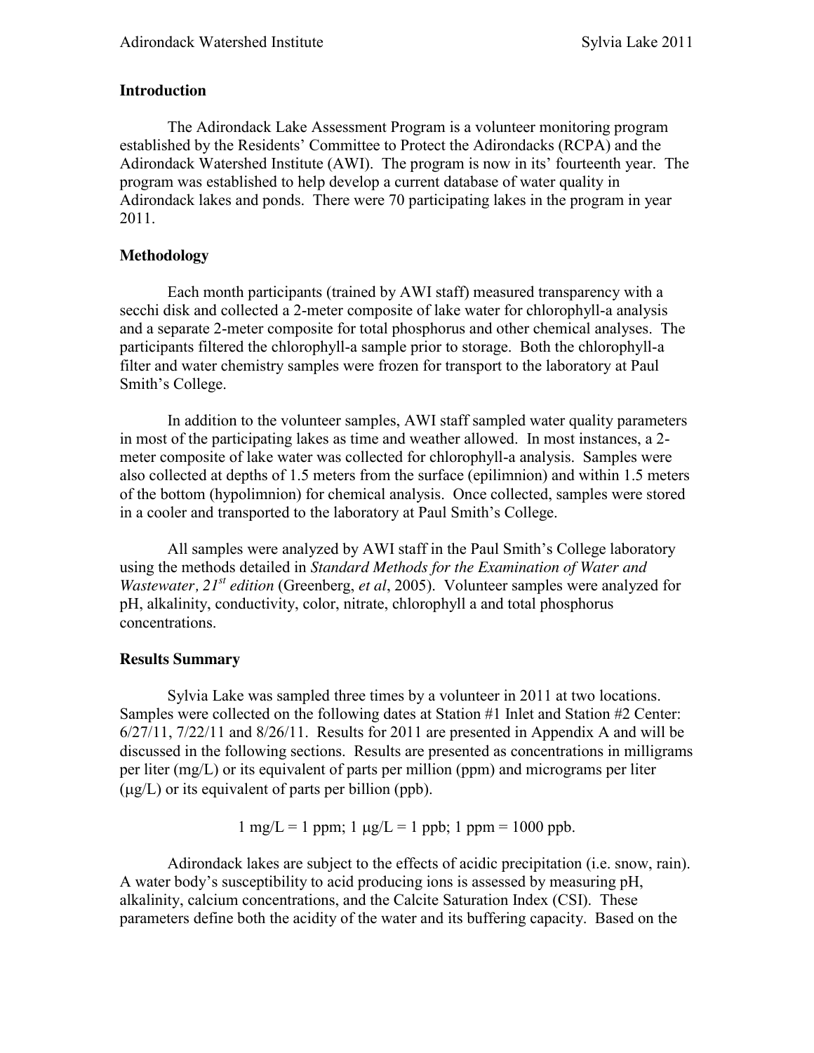#### **Introduction**

The Adirondack Lake Assessment Program is a volunteer monitoring program established by the Residents' Committee to Protect the Adirondacks (RCPA) and the Adirondack Watershed Institute (AWI). The program is now in its' fourteenth year. The program was established to help develop a current database of water quality in Adirondack lakes and ponds. There were 70 participating lakes in the program in year 2011.

#### **Methodology**

Each month participants (trained by AWI staff) measured transparency with a secchi disk and collected a 2-meter composite of lake water for chlorophyll-a analysis and a separate 2-meter composite for total phosphorus and other chemical analyses. The participants filtered the chlorophyll-a sample prior to storage. Both the chlorophyll-a filter and water chemistry samples were frozen for transport to the laboratory at Paul Smith's College.

In addition to the volunteer samples, AWI staff sampled water quality parameters in most of the participating lakes as time and weather allowed. In most instances, a 2 meter composite of lake water was collected for chlorophyll-a analysis. Samples were also collected at depths of 1.5 meters from the surface (epilimnion) and within 1.5 meters of the bottom (hypolimnion) for chemical analysis. Once collected, samples were stored in a cooler and transported to the laboratory at Paul Smith's College.

All samples were analyzed by AWI staff in the Paul Smith's College laboratory using the methods detailed in *Standard Methods for the Examination of Water and Wastewater, 21<sup>st</sup> edition* (Greenberg, *et al, 2005*). Volunteer samples were analyzed for pH, alkalinity, conductivity, color, nitrate, chlorophyll a and total phosphorus concentrations.

#### **Results Summary**

Sylvia Lake was sampled three times by a volunteer in 2011 at two locations. Samples were collected on the following dates at Station #1 Inlet and Station #2 Center:  $6/27/11$ ,  $7/22/11$  and  $8/26/11$ . Results for 2011 are presented in Appendix A and will be discussed in the following sections. Results are presented as concentrations in milligrams per liter (mg/L) or its equivalent of parts per million (ppm) and micrograms per liter  $(\mu \rho/L)$  or its equivalent of parts per billion (ppb).

 $1 \text{ mg/L} = 1 \text{ ppm}; 1 \text{ µg/L} = 1 \text{ ppb}; 1 \text{ ppm} = 1000 \text{ ppb}.$ 

Adirondack lakes are subject to the effects of acidic precipitation (i.e. snow, rain). A water body's susceptibility to acid producing ions is assessed by measuring pH, alkalinity, calcium concentrations, and the Calcite Saturation Index (CSI). These parameters define both the acidity of the water and its buffering capacity. Based on the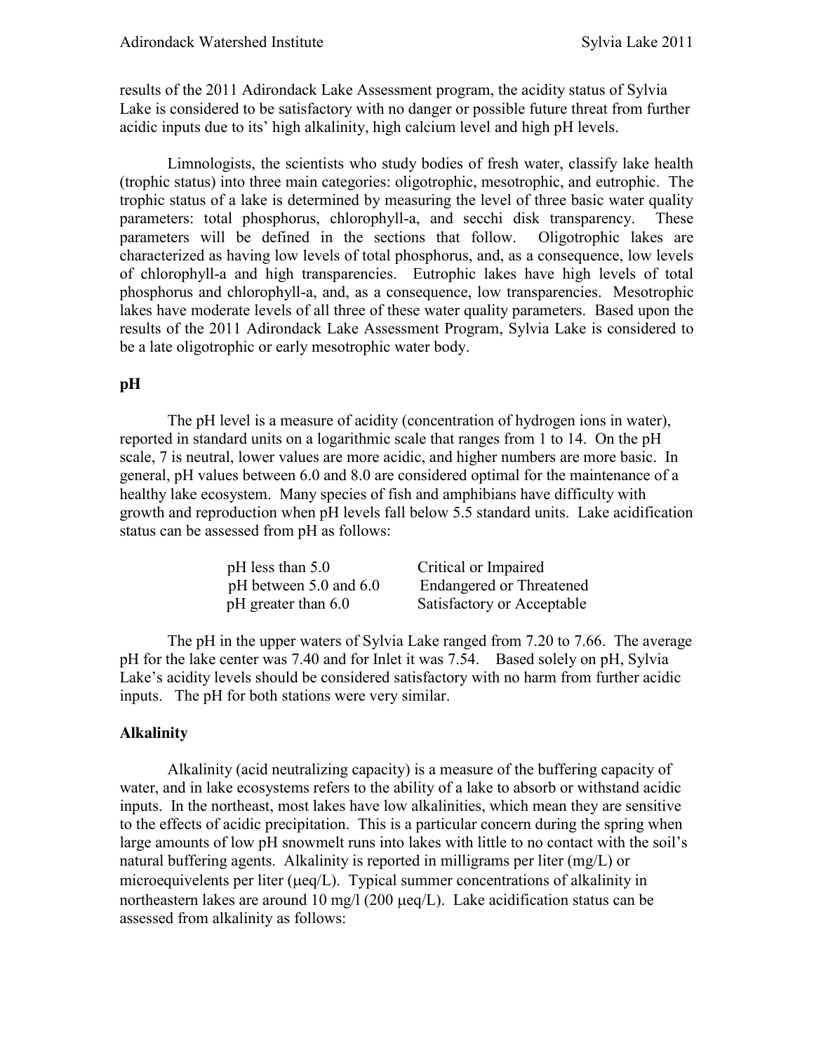results of the 2011 Adirondack Lake Assessment program, the acidity status of Sylvia Lake is considered to be satisfactory with no danger or possible future threat from further acidic inputs due to its' high alkalinity, high calcium level and high pH levels.

Limnologists, the scientists who study bodies of fresh water, classify lake health (trophic status) into three main categories: oligotrophic, mesotrophic, and eutrophic. The trophic status of a lake is determined by measuring the level of three basic water quality parameters: total phosphorus, chlorophyll-a, and secchi disk transparency. These parameters will be defined in the sections that follow. Oligotrophic lakes are characterized as having low levels of total phosphorus, and, as a consequence, low levels of chlorophyll-a and high transparencies. Eutrophic lakes have high levels of total phosphorus and chlorophyll-a, and, as a consequence, low transparencies. Mesotrophic lakes have moderate levels of all three of these water quality parameters. Based upon the results of the 2011 Adirondack Lake Assessment Program, Sylvia Lake is considered to be a late oligotrophic or early mesotrophic water body.

#### **pH**

The pH level is a measure of acidity (concentration of hydrogen ions in water), reported in standard units on a logarithmic scale that ranges from 1 to 14. On the pH scale, 7 is neutral, lower values are more acidic, and higher numbers are more basic. In general, pH values between 6.0 and 8.0 are considered optimal for the maintenance of a healthy lake ecosystem. Many species of fish and amphibians have difficulty with growth and reproduction when pH levels fall below 5.5 standard units. Lake acidification status can be assessed from pH as follows:

| $pH$ less than 5.0         | Critical or Impaired            |
|----------------------------|---------------------------------|
| pH between $5.0$ and $6.0$ | <b>Endangered or Threatened</b> |
| pH greater than 6.0        | Satisfactory or Acceptable      |

The pH in the upper waters of Sylvia Lake ranged from 7.20 to 7.66. The average pH for the lake center was 7.40 and for Inlet it was 7.54. Based solely on pH, Sylvia Lake's acidity levels should be considered satisfactory with no harm from further acidic inputs. The pH for both stations were very similar.

#### **Alkalinity**

Alkalinity (acid neutralizing capacity) is a measure of the buffering capacity of water, and in lake ecosystems refers to the ability of a lake to absorb or withstand acidic inputs. In the northeast, most lakes have low alkalinities, which mean they are sensitive to the effects of acidic precipitation. This is a particular concern during the spring when large amounts of low pH snowmelt runs into lakes with little to no contact with the soil's natural buffering agents. Alkalinity is reported in milligrams per liter (mg/L) or microequivelents per liter ( $\mu$ eq/L). Typical summer concentrations of alkalinity in northeastern lakes are around 10 mg/l (200  $\mu$ eq/L). Lake acidification status can be assessed from alkalinity as follows: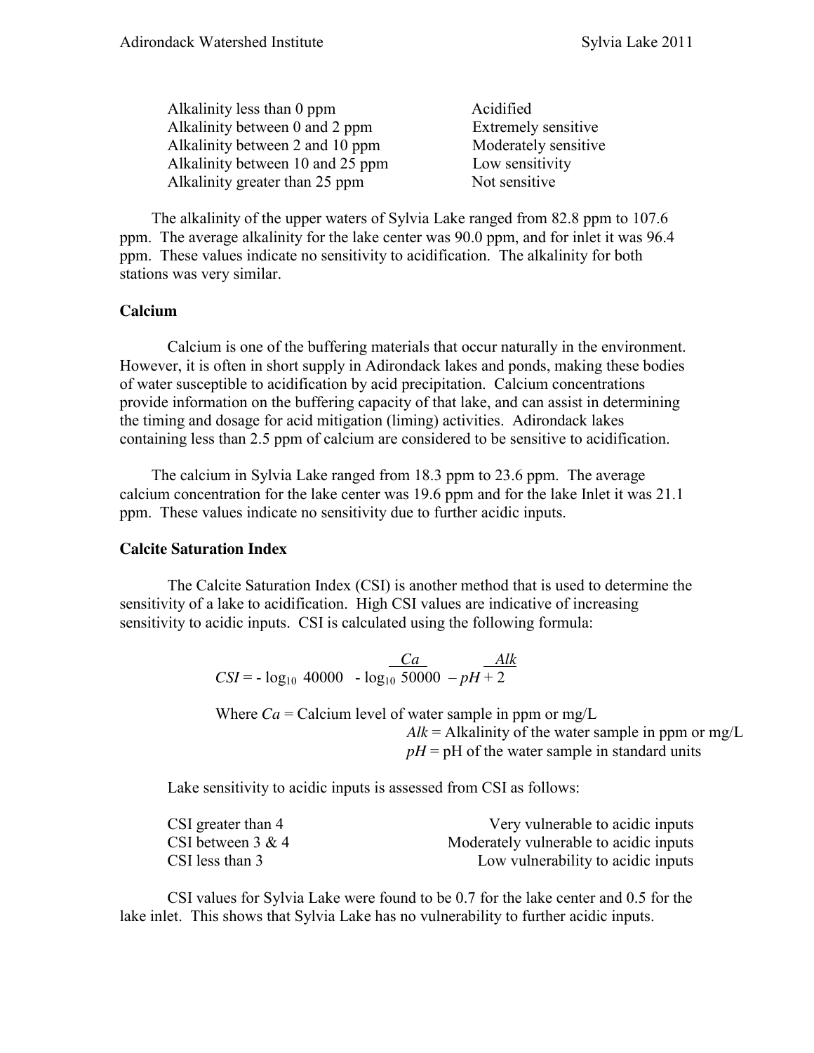| Alkalinity less than 0 ppm       | Acidified            |
|----------------------------------|----------------------|
| Alkalinity between 0 and 2 ppm   | Extremely sensitive  |
| Alkalinity between 2 and 10 ppm  | Moderately sensitive |
| Alkalinity between 10 and 25 ppm | Low sensitivity      |
| Alkalinity greater than 25 ppm   | Not sensitive        |

 The alkalinity of the upper waters of Sylvia Lake ranged from 82.8 ppm to 107.6 ppm. The average alkalinity for the lake center was 90.0 ppm, and for inlet it was 96.4 ppm. These values indicate no sensitivity to acidification. The alkalinity for both stations was very similar.

#### **Calcium**

Calcium is one of the buffering materials that occur naturally in the environment. However, it is often in short supply in Adirondack lakes and ponds, making these bodies of water susceptible to acidification by acid precipitation. Calcium concentrations provide information on the buffering capacity of that lake, and can assist in determining the timing and dosage for acid mitigation (liming) activities. Adirondack lakes containing less than 2.5 ppm of calcium are considered to be sensitive to acidification.

 The calcium in Sylvia Lake ranged from 18.3 ppm to 23.6 ppm. The average calcium concentration for the lake center was 19.6 ppm and for the lake Inlet it was 21.1 ppm. These values indicate no sensitivity due to further acidic inputs.

#### **Calcite Saturation Index**

The Calcite Saturation Index (CSI) is another method that is used to determine the sensitivity of a lake to acidification. High CSI values are indicative of increasing sensitivity to acidic inputs. CSI is calculated using the following formula:

> *Ca Alk*  $CSI = - log<sub>10</sub> 40000 - log<sub>10</sub> 50000 - pH + 2$

Where  $Ca = Ca$  calcium level of water sample in ppm or mg/L

 $Alk = Alkalinity$  of the water sample in ppm or mg/L  $pH = pH$  of the water sample in standard units

Lake sensitivity to acidic inputs is assessed from CSI as follows:

| CSI greater than 4   | Very vulnerable to acidic inputs       |
|----------------------|----------------------------------------|
| CSI between $3 \& 4$ | Moderately vulnerable to acidic inputs |
| CSI less than 3      | Low vulnerability to acidic inputs     |

CSI values for Sylvia Lake were found to be 0.7 for the lake center and 0.5 for the lake inlet. This shows that Sylvia Lake has no vulnerability to further acidic inputs.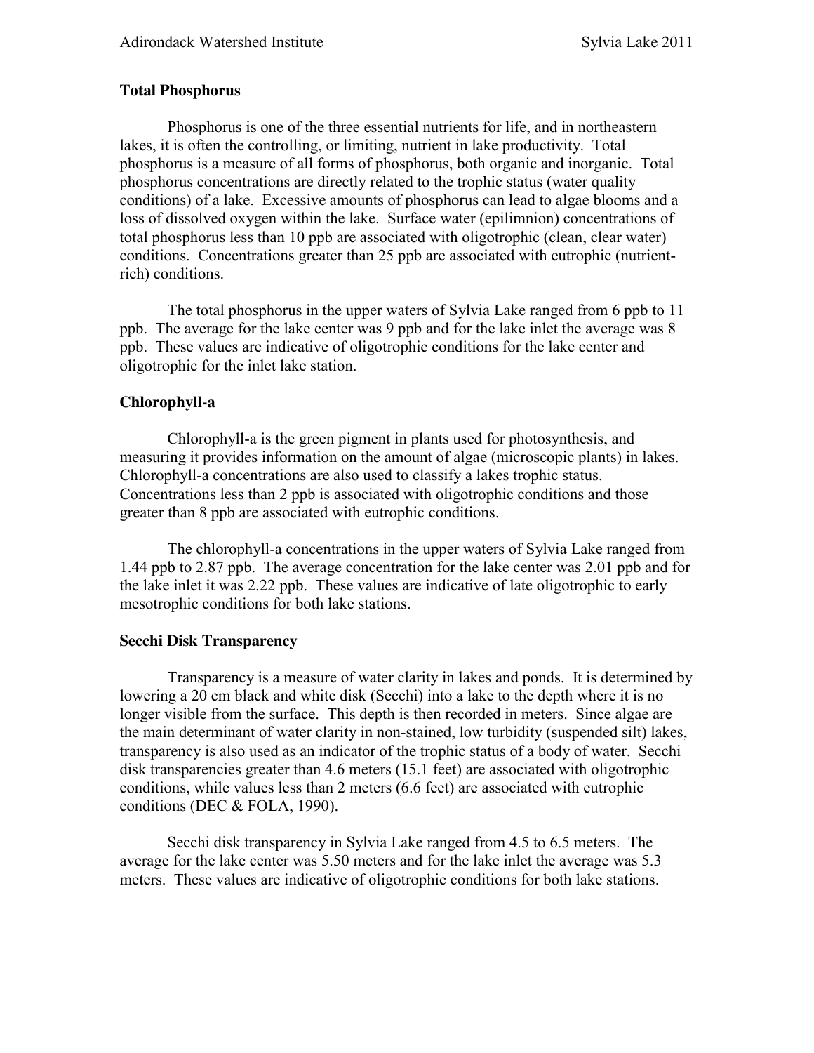#### **Total Phosphorus**

Phosphorus is one of the three essential nutrients for life, and in northeastern lakes, it is often the controlling, or limiting, nutrient in lake productivity. Total phosphorus is a measure of all forms of phosphorus, both organic and inorganic. Total phosphorus concentrations are directly related to the trophic status (water quality conditions) of a lake. Excessive amounts of phosphorus can lead to algae blooms and a loss of dissolved oxygen within the lake. Surface water (epilimnion) concentrations of total phosphorus less than 10 ppb are associated with oligotrophic (clean, clear water) conditions. Concentrations greater than 25 ppb are associated with eutrophic (nutrientrich) conditions.

The total phosphorus in the upper waters of Sylvia Lake ranged from 6 ppb to 11 ppb. The average for the lake center was 9 ppb and for the lake inlet the average was 8 ppb. These values are indicative of oligotrophic conditions for the lake center and oligotrophic for the inlet lake station.

#### **Chlorophyll-a**

Chlorophyll-a is the green pigment in plants used for photosynthesis, and measuring it provides information on the amount of algae (microscopic plants) in lakes. Chlorophyll-a concentrations are also used to classify a lakes trophic status. Concentrations less than 2 ppb is associated with oligotrophic conditions and those greater than 8 ppb are associated with eutrophic conditions.

The chlorophyll-a concentrations in the upper waters of Sylvia Lake ranged from 1.44 ppb to 2.87 ppb. The average concentration for the lake center was 2.01 ppb and for the lake inlet it was 2.22 ppb. These values are indicative of late oligotrophic to early mesotrophic conditions for both lake stations.

#### **Secchi Disk Transparency**

Transparency is a measure of water clarity in lakes and ponds. It is determined by lowering a 20 cm black and white disk (Secchi) into a lake to the depth where it is no longer visible from the surface. This depth is then recorded in meters. Since algae are the main determinant of water clarity in non-stained, low turbidity (suspended silt) lakes, transparency is also used as an indicator of the trophic status of a body of water. Secchi disk transparencies greater than 4.6 meters (15.1 feet) are associated with oligotrophic conditions, while values less than 2 meters (6.6 feet) are associated with eutrophic conditions (DEC & FOLA, 1990).

Secchi disk transparency in Sylvia Lake ranged from 4.5 to 6.5 meters. The average for the lake center was 5.50 meters and for the lake inlet the average was 5.3 meters. These values are indicative of oligotrophic conditions for both lake stations.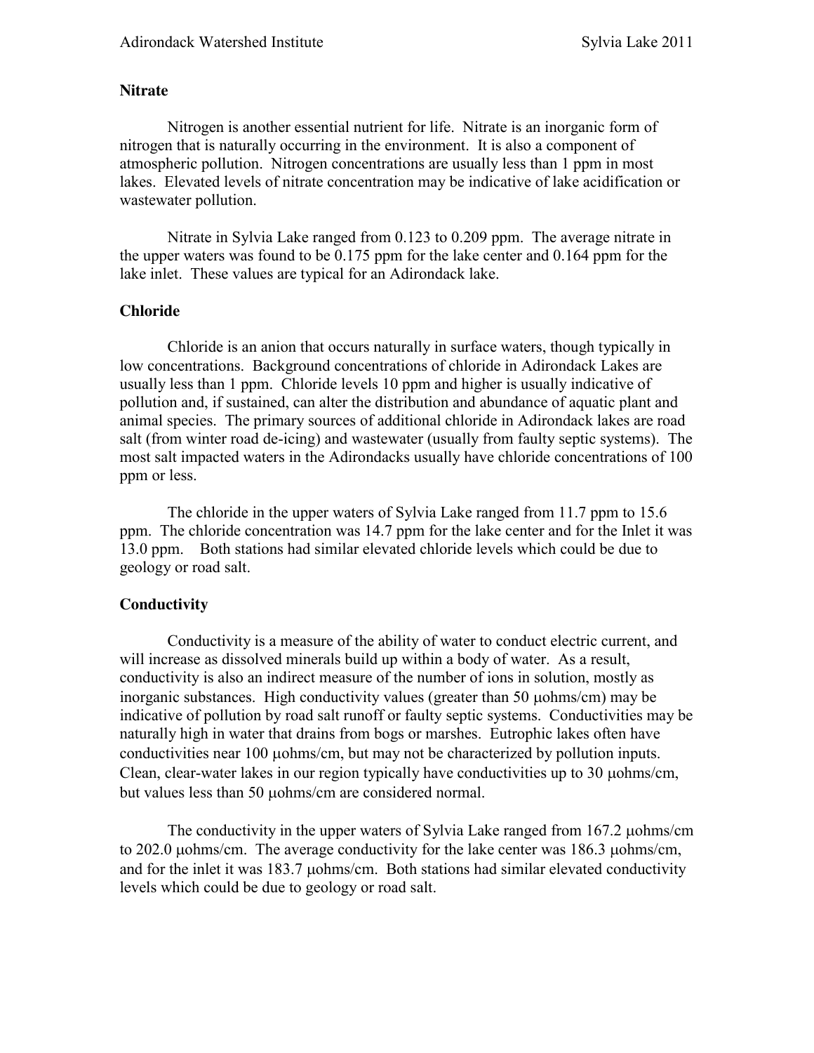#### **Nitrate**

Nitrogen is another essential nutrient for life. Nitrate is an inorganic form of nitrogen that is naturally occurring in the environment. It is also a component of atmospheric pollution. Nitrogen concentrations are usually less than 1 ppm in most lakes. Elevated levels of nitrate concentration may be indicative of lake acidification or wastewater pollution.

Nitrate in Sylvia Lake ranged from 0.123 to 0.209 ppm. The average nitrate in the upper waters was found to be 0.175 ppm for the lake center and 0.164 ppm for the lake inlet. These values are typical for an Adirondack lake.

#### **Chloride**

Chloride is an anion that occurs naturally in surface waters, though typically in low concentrations. Background concentrations of chloride in Adirondack Lakes are usually less than 1 ppm. Chloride levels 10 ppm and higher is usually indicative of pollution and, if sustained, can alter the distribution and abundance of aquatic plant and animal species. The primary sources of additional chloride in Adirondack lakes are road salt (from winter road de-icing) and wastewater (usually from faulty septic systems). The most salt impacted waters in the Adirondacks usually have chloride concentrations of 100 ppm or less.

The chloride in the upper waters of Sylvia Lake ranged from 11.7 ppm to 15.6 ppm. The chloride concentration was 14.7 ppm for the lake center and for the Inlet it was 13.0 ppm. Both stations had similar elevated chloride levels which could be due to geology or road salt.

#### **Conductivity**

Conductivity is a measure of the ability of water to conduct electric current, and will increase as dissolved minerals build up within a body of water. As a result, conductivity is also an indirect measure of the number of ions in solution, mostly as inorganic substances. High conductivity values (greater than 50 uohms/cm) may be indicative of pollution by road salt runoff or faulty septic systems. Conductivities may be naturally high in water that drains from bogs or marshes. Eutrophic lakes often have conductivities near 100 µohms/cm, but may not be characterized by pollution inputs. Clean, clear-water lakes in our region typically have conductivities up to 30 uohms/cm. but values less than 50 uohms/cm are considered normal.

The conductivity in the upper waters of Sylvia Lake ranged from  $167.2 \mu{\rm ohms/cm}$ to 202.0  $\mu$ ohms/cm. The average conductivity for the lake center was 186.3  $\mu$ ohms/cm, and for the inlet it was 183.7 µohms/cm. Both stations had similar elevated conductivity levels which could be due to geology or road salt.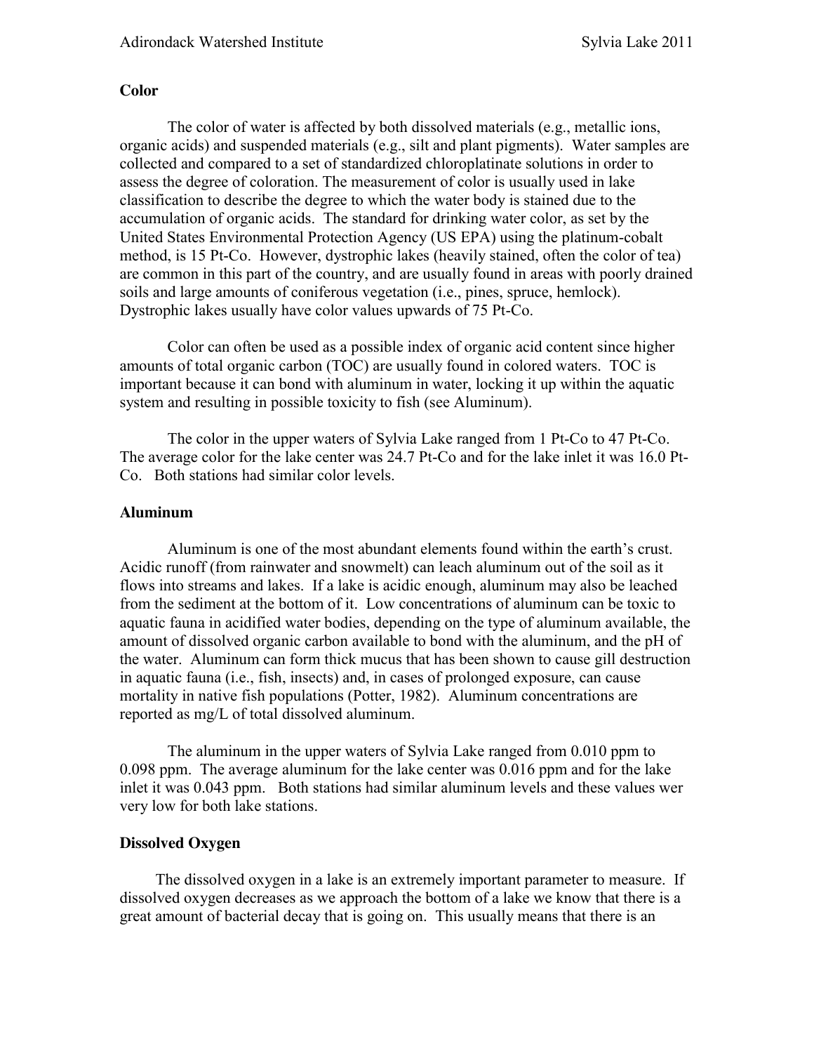#### **Color**

The color of water is affected by both dissolved materials (e.g., metallic ions, organic acids) and suspended materials (e.g., silt and plant pigments). Water samples are collected and compared to a set of standardized chloroplatinate solutions in order to assess the degree of coloration. The measurement of color is usually used in lake classification to describe the degree to which the water body is stained due to the accumulation of organic acids. The standard for drinking water color, as set by the United States Environmental Protection Agency (US EPA) using the platinum-cobalt method, is 15 Pt-Co. However, dystrophic lakes (heavily stained, often the color of tea) are common in this part of the country, and are usually found in areas with poorly drained soils and large amounts of coniferous vegetation (i.e., pines, spruce, hemlock). Dystrophic lakes usually have color values upwards of 75 Pt-Co.

Color can often be used as a possible index of organic acid content since higher amounts of total organic carbon (TOC) are usually found in colored waters. TOC is important because it can bond with aluminum in water, locking it up within the aquatic system and resulting in possible toxicity to fish (see Aluminum).

The color in the upper waters of Sylvia Lake ranged from 1 Pt-Co to 47 Pt-Co. The average color for the lake center was 24.7 Pt-Co and for the lake inlet it was 16.0 Pt-Co. Both stations had similar color levels.

#### **Aluminum**

Aluminum is one of the most abundant elements found within the earth's crust. Acidic runoff (from rainwater and snowmelt) can leach aluminum out of the soil as it flows into streams and lakes. If a lake is acidic enough, aluminum may also be leached from the sediment at the bottom of it. Low concentrations of aluminum can be toxic to aquatic fauna in acidified water bodies, depending on the type of aluminum available, the amount of dissolved organic carbon available to bond with the aluminum, and the pH of the water. Aluminum can form thick mucus that has been shown to cause gill destruction in aquatic fauna (i.e., fish, insects) and, in cases of prolonged exposure, can cause mortality in native fish populations (Potter, 1982). Aluminum concentrations are reported as mg/L of total dissolved aluminum.

The aluminum in the upper waters of Sylvia Lake ranged from 0.010 ppm to 0.098 ppm. The average aluminum for the lake center was 0.016 ppm and for the lake inlet it was 0.043 ppm. Both stations had similar aluminum levels and these values wer very low for both lake stations.

#### **Dissolved Oxygen**

 The dissolved oxygen in a lake is an extremely important parameter to measure. If dissolved oxygen decreases as we approach the bottom of a lake we know that there is a great amount of bacterial decay that is going on. This usually means that there is an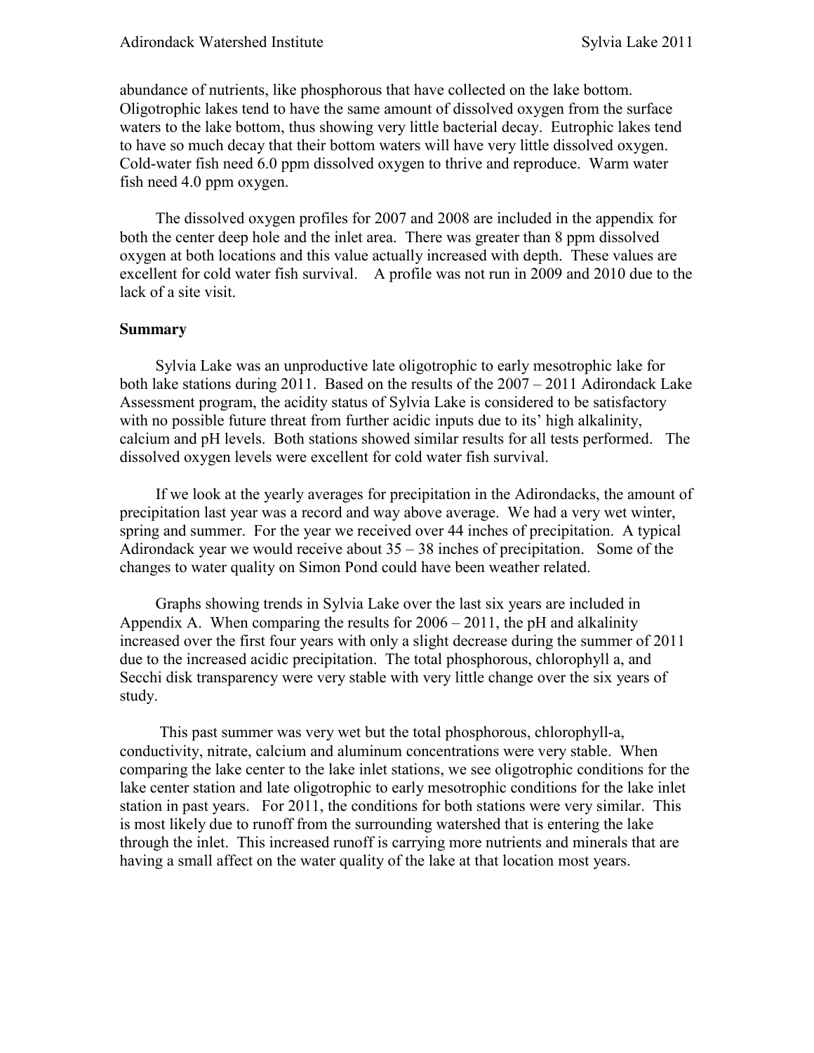#### Adirondack Watershed Institute Sylvia Lake 2011

abundance of nutrients, like phosphorous that have collected on the lake bottom. Oligotrophic lakes tend to have the same amount of dissolved oxygen from the surface waters to the lake bottom, thus showing very little bacterial decay. Eutrophic lakes tend to have so much decay that their bottom waters will have very little dissolved oxygen. Cold-water fish need 6.0 ppm dissolved oxygen to thrive and reproduce. Warm water fish need 4.0 ppm oxygen.

 The dissolved oxygen profiles for 2007 and 2008 are included in the appendix for both the center deep hole and the inlet area. There was greater than 8 ppm dissolved oxygen at both locations and this value actually increased with depth. These values are excellent for cold water fish survival. A profile was not run in 2009 and 2010 due to the lack of a site visit.

#### **Summary**

 Sylvia Lake was an unproductive late oligotrophic to early mesotrophic lake for both lake stations during 2011. Based on the results of the 2007 – 2011 Adirondack Lake Assessment program, the acidity status of Sylvia Lake is considered to be satisfactory with no possible future threat from further acidic inputs due to its' high alkalinity, calcium and pH levels. Both stations showed similar results for all tests performed. The dissolved oxygen levels were excellent for cold water fish survival.

 If we look at the yearly averages for precipitation in the Adirondacks, the amount of precipitation last year was a record and way above average. We had a very wet winter, spring and summer. For the year we received over 44 inches of precipitation. A typical Adirondack year we would receive about  $35 - 38$  inches of precipitation. Some of the changes to water quality on Simon Pond could have been weather related.

 Graphs showing trends in Sylvia Lake over the last six years are included in Appendix A. When comparing the results for  $2006 - 2011$ , the pH and alkalinity increased over the first four years with only a slight decrease during the summer of 2011 due to the increased acidic precipitation. The total phosphorous, chlorophyll a, and Secchi disk transparency were very stable with very little change over the six years of study.

 This past summer was very wet but the total phosphorous, chlorophyll-a, conductivity, nitrate, calcium and aluminum concentrations were very stable. When comparing the lake center to the lake inlet stations, we see oligotrophic conditions for the lake center station and late oligotrophic to early mesotrophic conditions for the lake inlet station in past years. For 2011, the conditions for both stations were very similar. This is most likely due to runoff from the surrounding watershed that is entering the lake through the inlet. This increased runoff is carrying more nutrients and minerals that are having a small affect on the water quality of the lake at that location most years.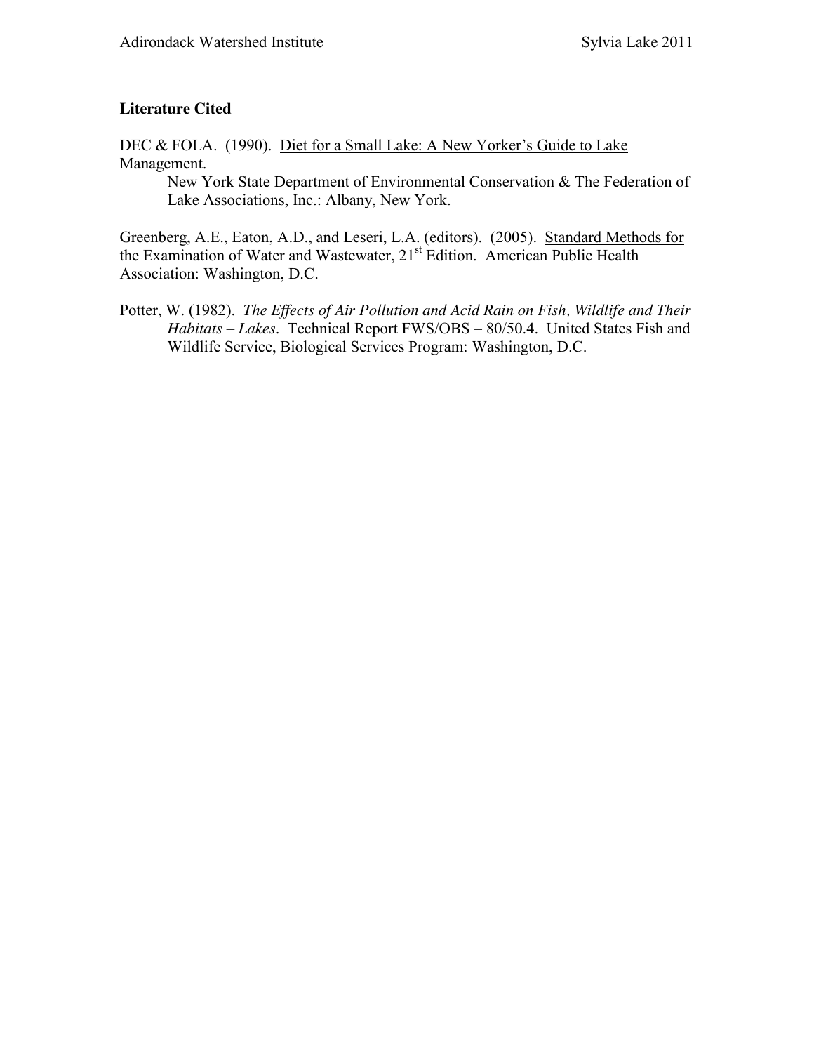#### **Literature Cited**

DEC & FOLA. (1990). Diet for a Small Lake: A New Yorker's Guide to Lake Management.

New York State Department of Environmental Conservation & The Federation of Lake Associations, Inc.: Albany, New York.

Greenberg, A.E., Eaton, A.D., and Leseri, L.A. (editors). (2005). Standard Methods for the Examination of Water and Wastewater, 21<sup>st</sup> Edition. American Public Health Association: Washington, D.C.

Potter, W. (1982). *The Effects of Air Pollution and Acid Rain on Fish, Wildlife and Their Habitats – Lakes*. Technical Report FWS/OBS – 80/50.4. United States Fish and Wildlife Service, Biological Services Program: Washington, D.C.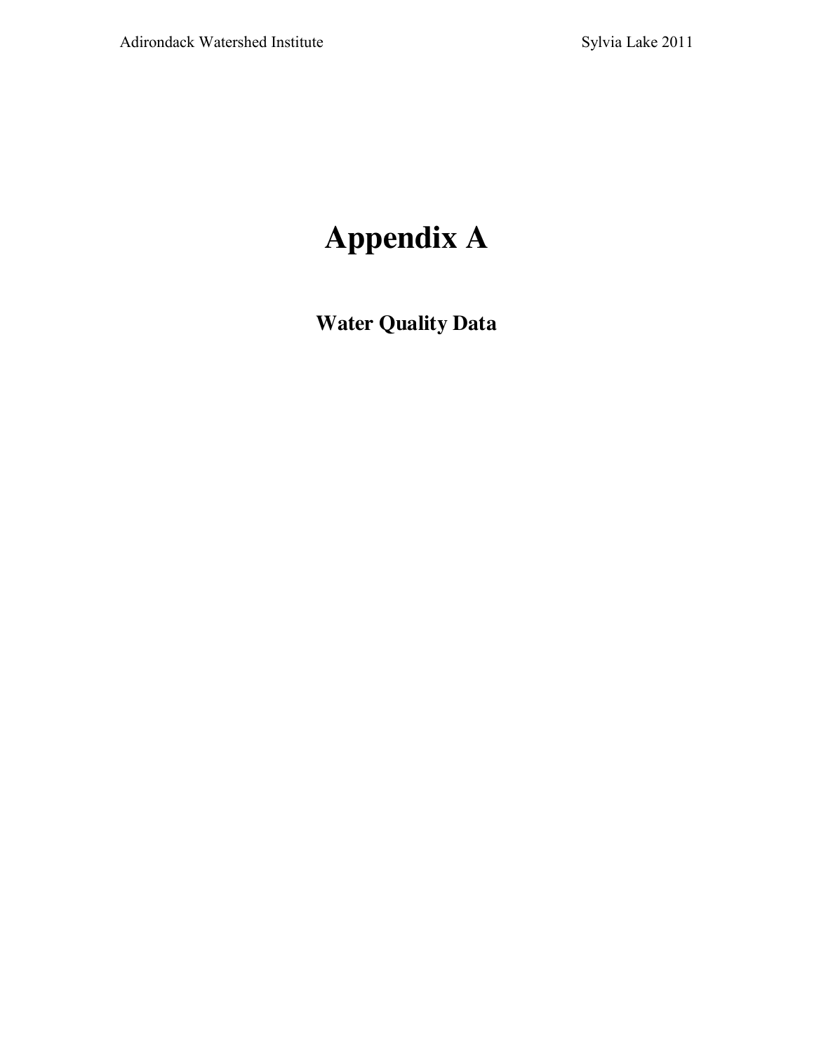# **Appendix A**

**Water Quality Data**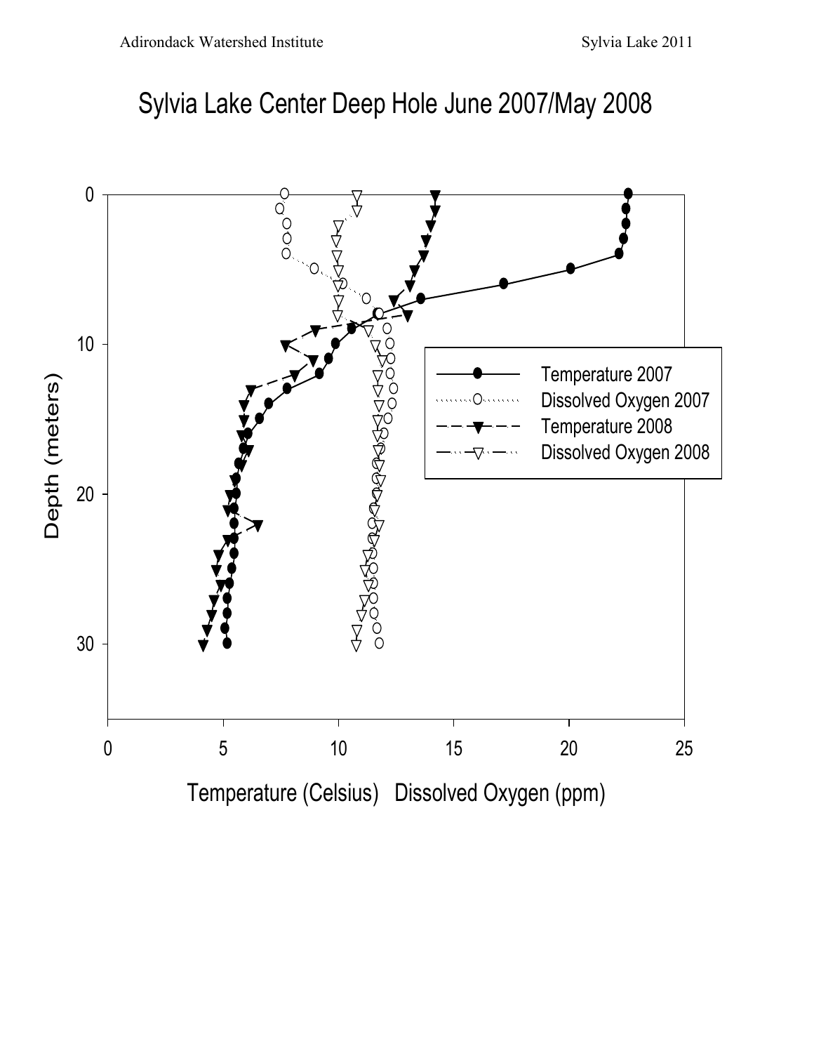## Sylvia Lake Center Deep Hole June 2007/May 2008

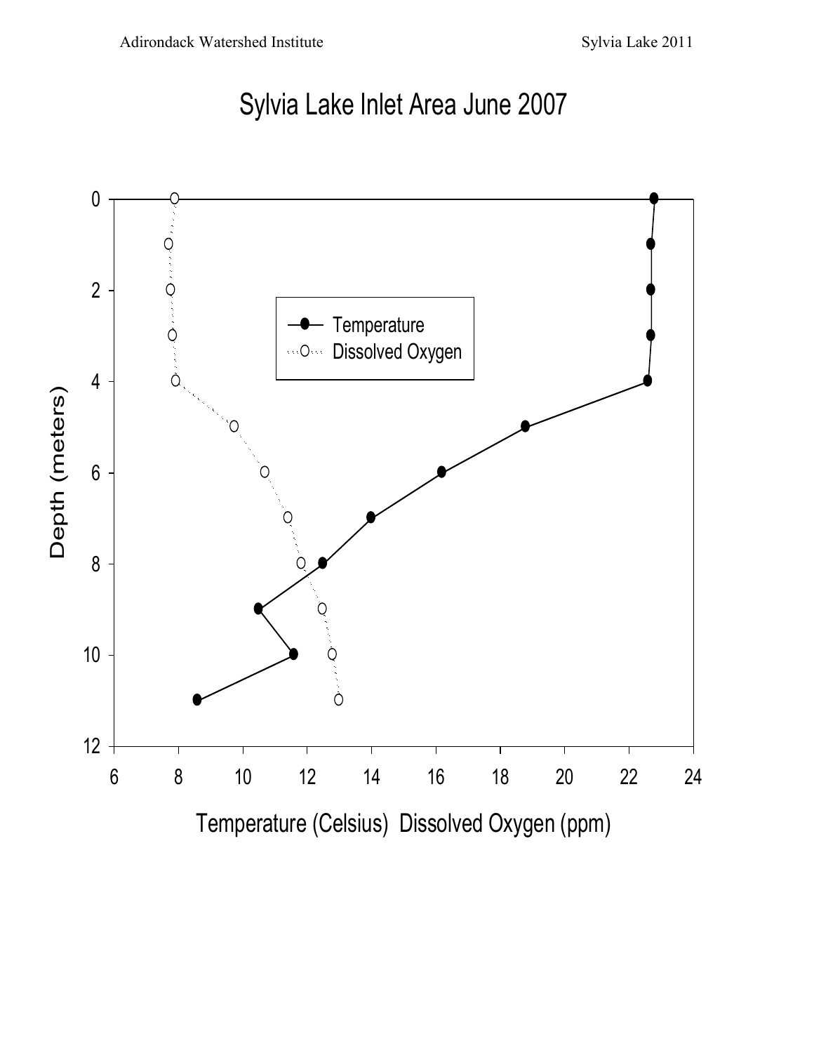# Sylvia Lake Inlet Area June 2007

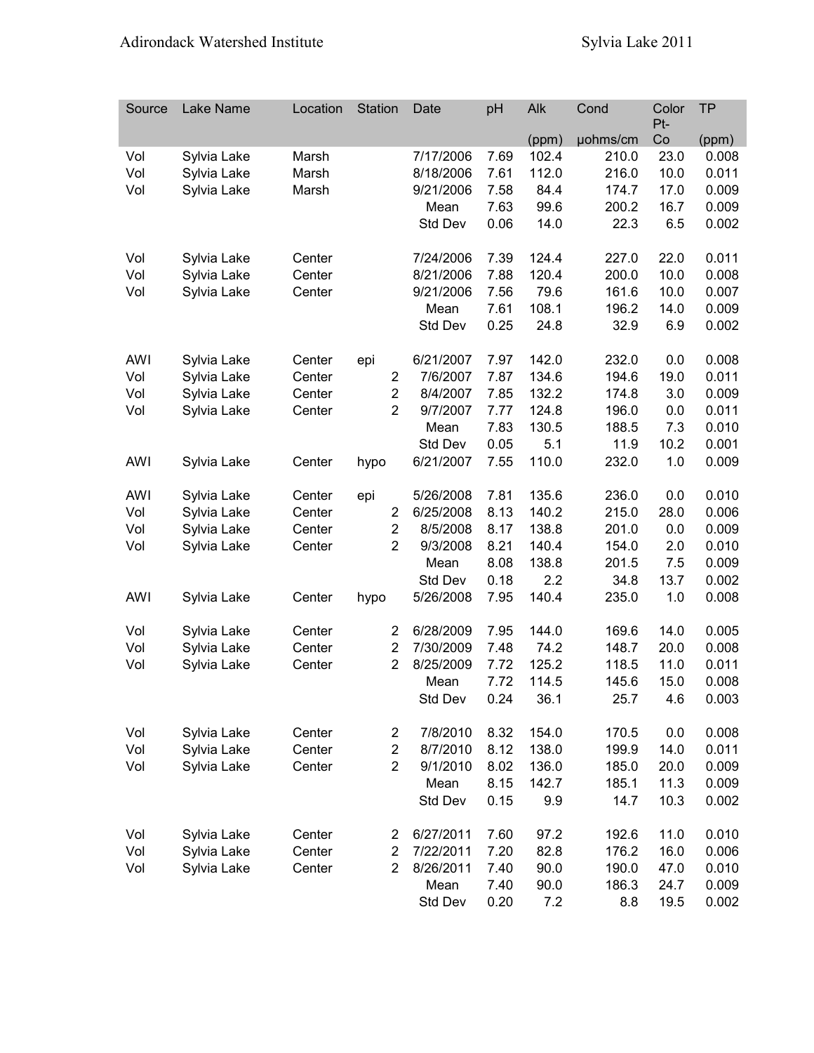| Source     | Lake Name   | Location | <b>Station</b>          | Date      | pH   | Alk   | Cond     | Color<br>Pt- | <b>TP</b> |
|------------|-------------|----------|-------------------------|-----------|------|-------|----------|--------------|-----------|
|            |             |          |                         |           |      | (ppm) | µohms/cm | Co           | (ppm)     |
| Vol        | Sylvia Lake | Marsh    |                         | 7/17/2006 | 7.69 | 102.4 | 210.0    | 23.0         | 0.008     |
| Vol        | Sylvia Lake | Marsh    |                         | 8/18/2006 | 7.61 | 112.0 | 216.0    | 10.0         | 0.011     |
| Vol        | Sylvia Lake | Marsh    |                         | 9/21/2006 | 7.58 | 84.4  | 174.7    | 17.0         | 0.009     |
|            |             |          |                         | Mean      | 7.63 | 99.6  | 200.2    | 16.7         | 0.009     |
|            |             |          |                         | Std Dev   | 0.06 | 14.0  | 22.3     | 6.5          | 0.002     |
|            |             |          |                         |           |      |       |          |              |           |
| Vol        | Sylvia Lake | Center   |                         | 7/24/2006 | 7.39 | 124.4 | 227.0    | 22.0         | 0.011     |
| Vol        | Sylvia Lake | Center   |                         | 8/21/2006 | 7.88 | 120.4 | 200.0    | 10.0         | 0.008     |
| Vol        | Sylvia Lake | Center   |                         | 9/21/2006 | 7.56 | 79.6  | 161.6    | 10.0         | 0.007     |
|            |             |          |                         | Mean      | 7.61 | 108.1 | 196.2    | 14.0         | 0.009     |
|            |             |          |                         | Std Dev   | 0.25 | 24.8  | 32.9     | 6.9          | 0.002     |
|            |             |          |                         |           |      |       |          |              |           |
| <b>AWI</b> | Sylvia Lake | Center   | epi                     | 6/21/2007 | 7.97 | 142.0 | 232.0    | 0.0          | 0.008     |
| Vol        | Sylvia Lake | Center   | $\overline{2}$          | 7/6/2007  | 7.87 | 134.6 | 194.6    | 19.0         | 0.011     |
| Vol        | Sylvia Lake | Center   | $\overline{2}$          | 8/4/2007  | 7.85 | 132.2 | 174.8    | 3.0          | 0.009     |
| Vol        | Sylvia Lake | Center   | $\overline{2}$          | 9/7/2007  | 7.77 | 124.8 | 196.0    | 0.0          | 0.011     |
|            |             |          |                         | Mean      | 7.83 | 130.5 | 188.5    | 7.3          | 0.010     |
|            |             |          |                         | Std Dev   | 0.05 | 5.1   | 11.9     | 10.2         | 0.001     |
| AWI        | Sylvia Lake | Center   | hypo                    | 6/21/2007 | 7.55 | 110.0 | 232.0    | 1.0          | 0.009     |
|            |             |          |                         |           |      |       |          |              |           |
| <b>AWI</b> | Sylvia Lake | Center   | epi                     | 5/26/2008 | 7.81 | 135.6 | 236.0    | 0.0          | 0.010     |
| Vol        | Sylvia Lake | Center   | 2                       | 6/25/2008 | 8.13 | 140.2 | 215.0    | 28.0         | 0.006     |
| Vol        | Sylvia Lake | Center   | 2                       | 8/5/2008  | 8.17 | 138.8 | 201.0    | 0.0          | 0.009     |
| Vol        | Sylvia Lake | Center   | $\overline{2}$          | 9/3/2008  | 8.21 | 140.4 | 154.0    | 2.0          | 0.010     |
|            |             |          |                         | Mean      | 8.08 | 138.8 | 201.5    | 7.5          | 0.009     |
|            |             |          |                         | Std Dev   | 0.18 | 2.2   | 34.8     | 13.7         | 0.002     |
| AWI        | Sylvia Lake | Center   | hypo                    | 5/26/2008 | 7.95 | 140.4 | 235.0    | 1.0          | 0.008     |
|            |             |          |                         |           |      |       |          |              |           |
| Vol        | Sylvia Lake | Center   | $\overline{2}$          | 6/28/2009 | 7.95 | 144.0 | 169.6    | 14.0         | 0.005     |
| Vol        | Sylvia Lake | Center   | $\overline{\mathbf{c}}$ | 7/30/2009 | 7.48 | 74.2  | 148.7    | 20.0         | 0.008     |
| Vol        | Sylvia Lake | Center   | $\overline{2}$          | 8/25/2009 | 7.72 | 125.2 | 118.5    | 11.0         | 0.011     |
|            |             |          |                         | Mean      | 7.72 | 114.5 | 145.6    | 15.0         | 0.008     |
|            |             |          |                         | Std Dev   | 0.24 | 36.1  | 25.7     | 4.6          | 0.003     |
| Vol        | Sylvia Lake | Center   | 2                       | 7/8/2010  | 8.32 | 154.0 | 170.5    | 0.0          | 0.008     |
| Vol        | Sylvia Lake | Center   | $\overline{\mathbf{c}}$ | 8/7/2010  | 8.12 | 138.0 | 199.9    | 14.0         | 0.011     |
| Vol        | Sylvia Lake | Center   | $\overline{2}$          | 9/1/2010  | 8.02 | 136.0 | 185.0    | 20.0         | 0.009     |
|            |             |          |                         | Mean      |      |       |          | 11.3         |           |
|            |             |          |                         |           | 8.15 | 142.7 | 185.1    |              | 0.009     |
|            |             |          |                         | Std Dev   | 0.15 | 9.9   | 14.7     | 10.3         | 0.002     |
| Vol        | Sylvia Lake | Center   | $\overline{2}$          | 6/27/2011 | 7.60 | 97.2  | 192.6    | 11.0         | 0.010     |
| Vol        | Sylvia Lake | Center   | $\overline{2}$          | 7/22/2011 | 7.20 | 82.8  | 176.2    | 16.0         | 0.006     |
| Vol        | Sylvia Lake | Center   | $\overline{2}$          | 8/26/2011 | 7.40 | 90.0  | 190.0    | 47.0         | 0.010     |
|            |             |          |                         | Mean      | 7.40 | 90.0  | 186.3    | 24.7         | 0.009     |
|            |             |          |                         | Std Dev   | 0.20 | 7.2   | 8.8      | 19.5         | 0.002     |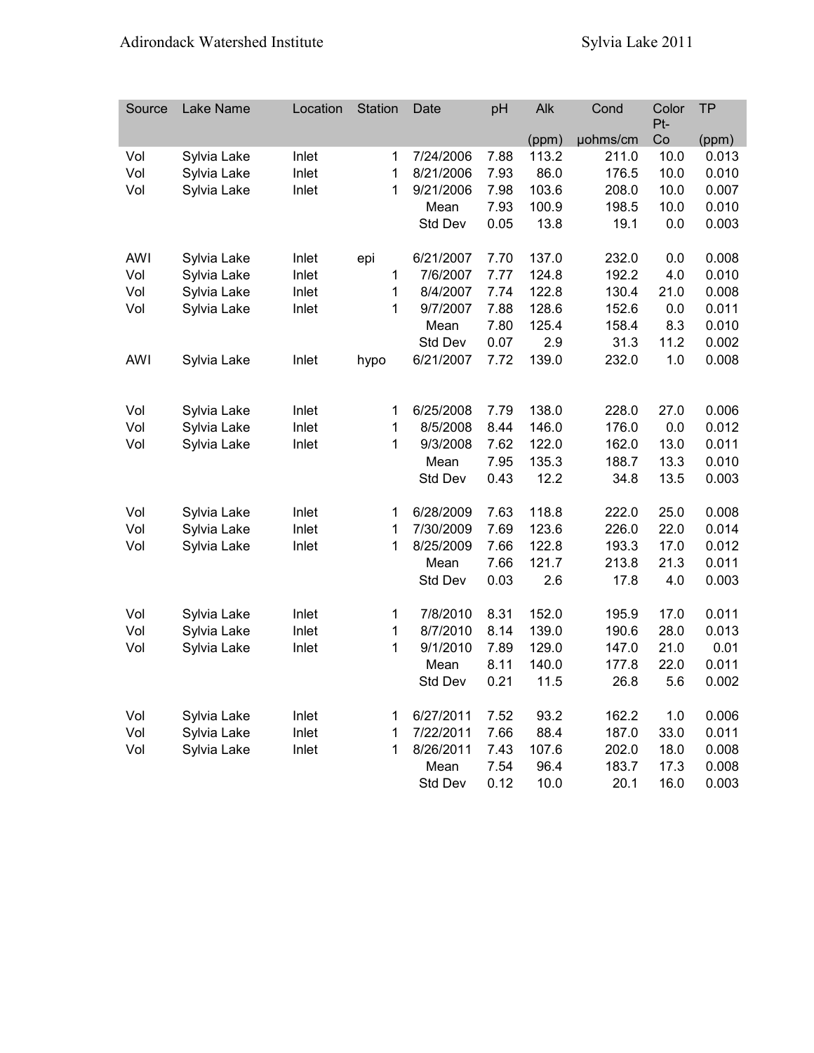| Source     | Lake Name                  | Location | <b>Station</b> | Date      | pH   | Alk   | Cond     | Color<br>Pt- | <b>TP</b> |
|------------|----------------------------|----------|----------------|-----------|------|-------|----------|--------------|-----------|
|            |                            |          |                |           |      | (ppm) | µohms/cm | Co           | (ppm)     |
| Vol        | Sylvia Lake                | Inlet    | 1              | 7/24/2006 | 7.88 | 113.2 | 211.0    | 10.0         | 0.013     |
| Vol        | Sylvia Lake                | Inlet    | 1              | 8/21/2006 | 7.93 | 86.0  | 176.5    | 10.0         | 0.010     |
| Vol        | Sylvia Lake                | Inlet    | 1              | 9/21/2006 | 7.98 | 103.6 | 208.0    | 10.0         | 0.007     |
|            |                            |          |                | Mean      | 7.93 | 100.9 | 198.5    | 10.0         | 0.010     |
|            |                            |          |                | Std Dev   | 0.05 | 13.8  | 19.1     | 0.0          | 0.003     |
| <b>AWI</b> | Sylvia Lake                | Inlet    | epi            | 6/21/2007 | 7.70 | 137.0 | 232.0    | 0.0          | 0.008     |
| Vol        | Sylvia Lake                | Inlet    | 1              | 7/6/2007  | 7.77 | 124.8 | 192.2    | 4.0          | 0.010     |
| Vol        | Sylvia Lake                | Inlet    | $\mathbf 1$    | 8/4/2007  | 7.74 | 122.8 | 130.4    | 21.0         | 0.008     |
| Vol        | Sylvia Lake                | Inlet    | 1              | 9/7/2007  | 7.88 | 128.6 | 152.6    | 0.0          | 0.011     |
|            |                            |          |                | Mean      | 7.80 | 125.4 | 158.4    | 8.3          | 0.010     |
|            |                            |          |                | Std Dev   | 0.07 | 2.9   | 31.3     | 11.2         | 0.002     |
| <b>AWI</b> | Sylvia Lake                | Inlet    | hypo           | 6/21/2007 | 7.72 | 139.0 | 232.0    | 1.0          | 0.008     |
|            |                            | Inlet    |                | 6/25/2008 | 7.79 | 138.0 | 228.0    | 27.0         | 0.006     |
| Vol<br>Vol | Sylvia Lake                | Inlet    | 1              | 8/5/2008  | 8.44 | 146.0 | 176.0    | 0.0          | 0.012     |
| Vol        | Sylvia Lake<br>Sylvia Lake | Inlet    | 1<br>1         | 9/3/2008  | 7.62 | 122.0 | 162.0    | 13.0         | 0.011     |
|            |                            |          |                | Mean      | 7.95 | 135.3 | 188.7    | 13.3         | 0.010     |
|            |                            |          |                | Std Dev   | 0.43 | 12.2  | 34.8     | 13.5         | 0.003     |
|            |                            |          |                |           |      |       |          |              |           |
| Vol        | Sylvia Lake                | Inlet    | 1              | 6/28/2009 | 7.63 | 118.8 | 222.0    | 25.0         | 0.008     |
| Vol        | Sylvia Lake                | Inlet    | 1              | 7/30/2009 | 7.69 | 123.6 | 226.0    | 22.0         | 0.014     |
| Vol        | Sylvia Lake                | Inlet    | 1              | 8/25/2009 | 7.66 | 122.8 | 193.3    | 17.0         | 0.012     |
|            |                            |          |                | Mean      | 7.66 | 121.7 | 213.8    | 21.3         | 0.011     |
|            |                            |          |                | Std Dev   | 0.03 | 2.6   | 17.8     | 4.0          | 0.003     |
| Vol        | Sylvia Lake                | Inlet    | 1              | 7/8/2010  | 8.31 | 152.0 | 195.9    | 17.0         | 0.011     |
| Vol        | Sylvia Lake                | Inlet    | 1              | 8/7/2010  | 8.14 | 139.0 | 190.6    | 28.0         | 0.013     |
| Vol        | Sylvia Lake                | Inlet    | 1              | 9/1/2010  | 7.89 | 129.0 | 147.0    | 21.0         | 0.01      |
|            |                            |          |                | Mean      | 8.11 | 140.0 | 177.8    | 22.0         | 0.011     |
|            |                            |          |                | Std Dev   | 0.21 | 11.5  | 26.8     | 5.6          | 0.002     |
| Vol        | Sylvia Lake                | Inlet    | 1              | 6/27/2011 | 7.52 | 93.2  | 162.2    | 1.0          | 0.006     |
| Vol        | Sylvia Lake                | Inlet    | 1              | 7/22/2011 | 7.66 | 88.4  | 187.0    | 33.0         | 0.011     |
| Vol        | Sylvia Lake                | Inlet    | 1              | 8/26/2011 | 7.43 | 107.6 | 202.0    | 18.0         | 0.008     |
|            |                            |          |                | Mean      | 7.54 | 96.4  | 183.7    | 17.3         | 0.008     |
|            |                            |          |                | Std Dev   | 0.12 | 10.0  | 20.1     | 16.0         | 0.003     |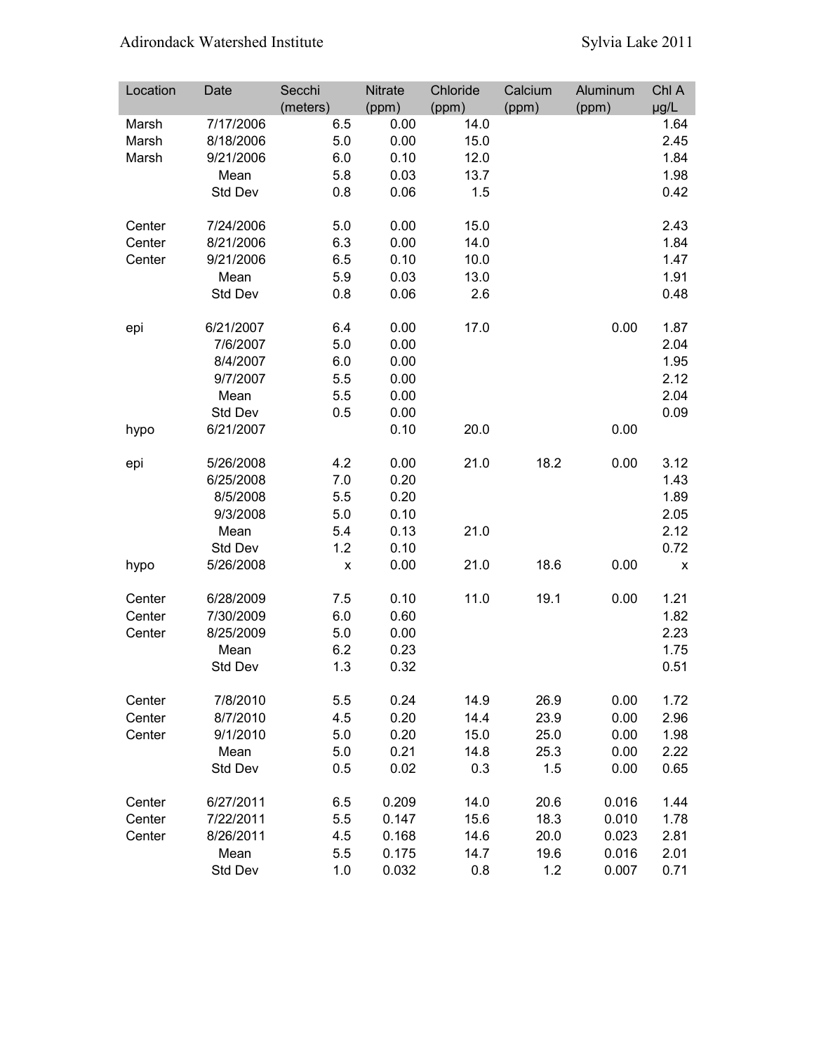## Adirondack Watershed Institute Sylvia Lake 2011

| Location | Date      | Secchi<br>(meters) | <b>Nitrate</b><br>(ppm) | Chloride<br>(ppm) | Calcium<br>(ppm) | Aluminum<br>(ppm) | Chl A<br>$\mu$ g/L |
|----------|-----------|--------------------|-------------------------|-------------------|------------------|-------------------|--------------------|
| Marsh    | 7/17/2006 | 6.5                | 0.00                    | 14.0              |                  |                   | 1.64               |
| Marsh    | 8/18/2006 | 5.0                | 0.00                    | 15.0              |                  |                   | 2.45               |
| Marsh    | 9/21/2006 | 6.0                | 0.10                    | 12.0              |                  |                   | 1.84               |
|          | Mean      | 5.8                | 0.03                    | 13.7              |                  |                   | 1.98               |
|          | Std Dev   | 0.8                | 0.06                    | 1.5               |                  |                   | 0.42               |
| Center   | 7/24/2006 | 5.0                | 0.00                    | 15.0              |                  |                   | 2.43               |
| Center   | 8/21/2006 | 6.3                | 0.00                    | 14.0              |                  |                   | 1.84               |
| Center   | 9/21/2006 | 6.5                | 0.10                    | 10.0              |                  |                   | 1.47               |
|          | Mean      | 5.9                | 0.03                    | 13.0              |                  |                   | 1.91               |
|          | Std Dev   | 0.8                | 0.06                    | 2.6               |                  |                   | 0.48               |
| epi      | 6/21/2007 | 6.4                | 0.00                    | 17.0              |                  | 0.00              | 1.87               |
|          | 7/6/2007  | 5.0                | 0.00                    |                   |                  |                   | 2.04               |
|          | 8/4/2007  | 6.0                | 0.00                    |                   |                  |                   | 1.95               |
|          | 9/7/2007  | 5.5                | 0.00                    |                   |                  |                   | 2.12               |
|          | Mean      | 5.5                | 0.00                    |                   |                  |                   | 2.04               |
|          | Std Dev   | 0.5                | 0.00                    |                   |                  |                   | 0.09               |
| hypo     | 6/21/2007 |                    | 0.10                    | 20.0              |                  | 0.00              |                    |
| epi      | 5/26/2008 | 4.2                | 0.00                    | 21.0              | 18.2             | 0.00              | 3.12               |
|          | 6/25/2008 | 7.0                | 0.20                    |                   |                  |                   | 1.43               |
|          | 8/5/2008  | 5.5                | 0.20                    |                   |                  |                   | 1.89               |
|          | 9/3/2008  | 5.0                | 0.10                    |                   |                  |                   | 2.05               |
|          | Mean      | 5.4                | 0.13                    | 21.0              |                  |                   | 2.12               |
|          | Std Dev   | 1.2                | 0.10                    |                   |                  |                   | 0.72               |
| hypo     | 5/26/2008 | $\pmb{\mathsf{x}}$ | 0.00                    | 21.0              | 18.6             | 0.00              | X                  |
| Center   | 6/28/2009 | 7.5                | 0.10                    | 11.0              | 19.1             | 0.00              | 1.21               |
| Center   | 7/30/2009 | 6.0                | 0.60                    |                   |                  |                   | 1.82               |
| Center   | 8/25/2009 | 5.0                | 0.00                    |                   |                  |                   | 2.23               |
|          | Mean      | 6.2                | 0.23                    |                   |                  |                   | 1.75               |
|          | Std Dev   | 1.3                | 0.32                    |                   |                  |                   | 0.51               |
| Center   | 7/8/2010  | 5.5                | 0.24                    | 14.9              | 26.9             | 0.00              | 1.72               |
| Center   | 8/7/2010  | 4.5                | 0.20                    | 14.4              | 23.9             | 0.00              | 2.96               |
| Center   | 9/1/2010  | 5.0                | 0.20                    | 15.0              | 25.0             | 0.00              | 1.98               |
|          | Mean      | 5.0                | 0.21                    | 14.8              | 25.3             | 0.00              | 2.22               |
|          | Std Dev   | 0.5                | 0.02                    | 0.3               | 1.5              | 0.00              | 0.65               |
| Center   | 6/27/2011 | 6.5                | 0.209                   | 14.0              | 20.6             | 0.016             | 1.44               |
| Center   | 7/22/2011 | 5.5                | 0.147                   | 15.6              | 18.3             | 0.010             | 1.78               |
| Center   | 8/26/2011 | 4.5                | 0.168                   | 14.6              | 20.0             | 0.023             | 2.81               |
|          | Mean      | 5.5                | 0.175                   | 14.7              | 19.6             | 0.016             | 2.01               |
|          | Std Dev   | 1.0                | 0.032                   | 0.8               | 1.2              | 0.007             | 0.71               |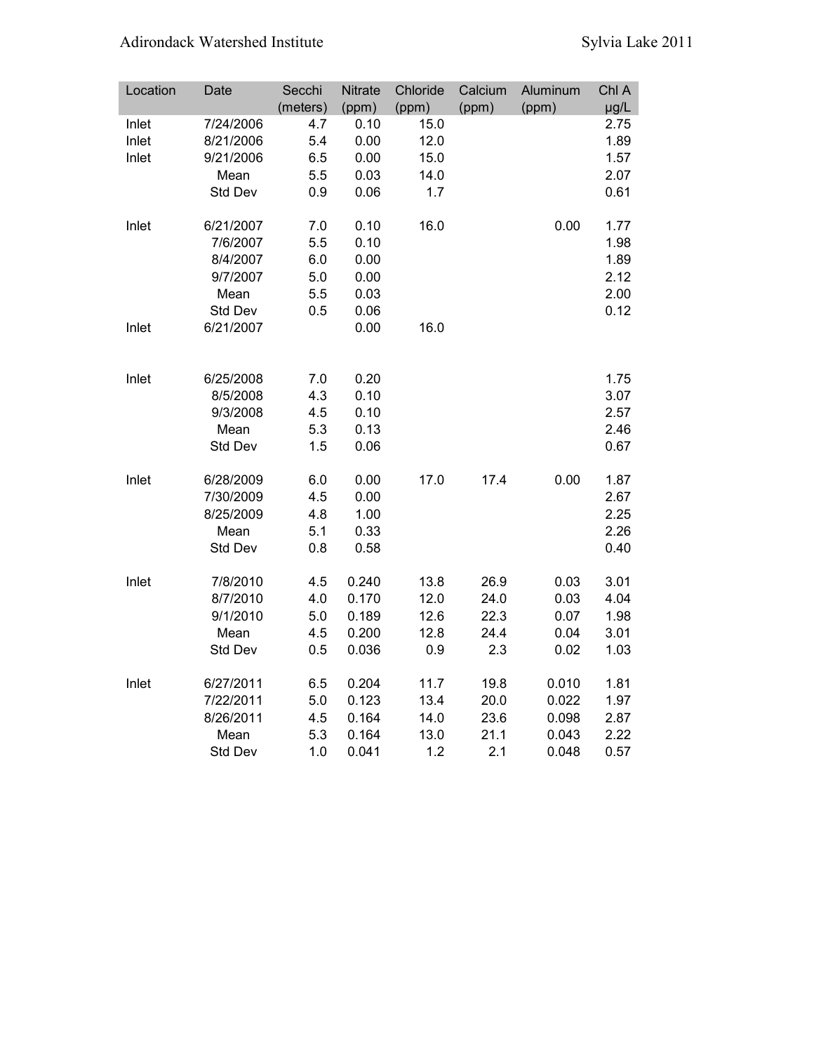## Adirondack Watershed Institute Sylvia Lake 2011

| Location | Date           | Secchi<br>(meters) | Nitrate<br>(ppm) | Chloride<br>(ppm) | Calcium<br>(ppm) | Aluminum<br>(ppm) | Chl A<br>$\mu$ g/L |
|----------|----------------|--------------------|------------------|-------------------|------------------|-------------------|--------------------|
| Inlet    | 7/24/2006      | 4.7                | 0.10             | 15.0              |                  |                   | 2.75               |
| Inlet    | 8/21/2006      | 5.4                | 0.00             | 12.0              |                  |                   | 1.89               |
| Inlet    | 9/21/2006      | 6.5                | 0.00             | 15.0              |                  |                   | 1.57               |
|          | Mean           | 5.5                | 0.03             | 14.0              |                  |                   | 2.07               |
|          | Std Dev        | 0.9                | 0.06             | 1.7               |                  |                   | 0.61               |
| Inlet    | 6/21/2007      | 7.0                | 0.10             | 16.0              |                  | 0.00              | 1.77               |
|          | 7/6/2007       | 5.5                | 0.10             |                   |                  |                   | 1.98               |
|          | 8/4/2007       | 6.0                | 0.00             |                   |                  |                   | 1.89               |
|          | 9/7/2007       | 5.0                | 0.00             |                   |                  |                   | 2.12               |
|          | Mean           | 5.5                | 0.03             |                   |                  |                   | 2.00               |
|          | Std Dev        | 0.5                | 0.06             |                   |                  |                   | 0.12               |
| Inlet    | 6/21/2007      |                    | 0.00             | 16.0              |                  |                   |                    |
|          |                |                    |                  |                   |                  |                   |                    |
| Inlet    | 6/25/2008      | 7.0                | 0.20             |                   |                  |                   | 1.75               |
|          | 8/5/2008       | 4.3                | 0.10             |                   |                  |                   | 3.07               |
|          | 9/3/2008       | 4.5                | 0.10             |                   |                  |                   | 2.57               |
|          | Mean           | 5.3                | 0.13             |                   |                  |                   | 2.46               |
|          | Std Dev        | 1.5                | 0.06             |                   |                  |                   | 0.67               |
| Inlet    | 6/28/2009      | 6.0                | 0.00             | 17.0              | 17.4             | 0.00              | 1.87               |
|          | 7/30/2009      | 4.5                | 0.00             |                   |                  |                   | 2.67               |
|          | 8/25/2009      | 4.8                | 1.00             |                   |                  |                   | 2.25               |
|          | Mean           | 5.1                | 0.33             |                   |                  |                   | 2.26               |
|          | Std Dev        | 0.8                | 0.58             |                   |                  |                   | 0.40               |
| Inlet    | 7/8/2010       | 4.5                | 0.240            | 13.8              | 26.9             | 0.03              | 3.01               |
|          | 8/7/2010       | 4.0                | 0.170            | 12.0              | 24.0             | 0.03              | 4.04               |
|          | 9/1/2010       | 5.0                | 0.189            | 12.6              | 22.3             | 0.07              | 1.98               |
|          | Mean           | 4.5                | 0.200            | 12.8              | 24.4             | 0.04              | 3.01               |
|          | Std Dev        | 0.5                | 0.036            | 0.9               | 2.3              | 0.02              | 1.03               |
| Inlet    | 6/27/2011      | 6.5                | 0.204            | 11.7              | 19.8             | 0.010             | 1.81               |
|          | 7/22/2011      | 5.0                | 0.123            | 13.4              | 20.0             | 0.022             | 1.97               |
|          | 8/26/2011      | 4.5                | 0.164            | 14.0              | 23.6             | 0.098             | 2.87               |
|          | Mean           | 5.3                | 0.164            | 13.0              | 21.1             | 0.043             | 2.22               |
|          | <b>Std Dev</b> | 1.0                | 0.041            | 1.2               | 2.1              | 0.048             | 0.57               |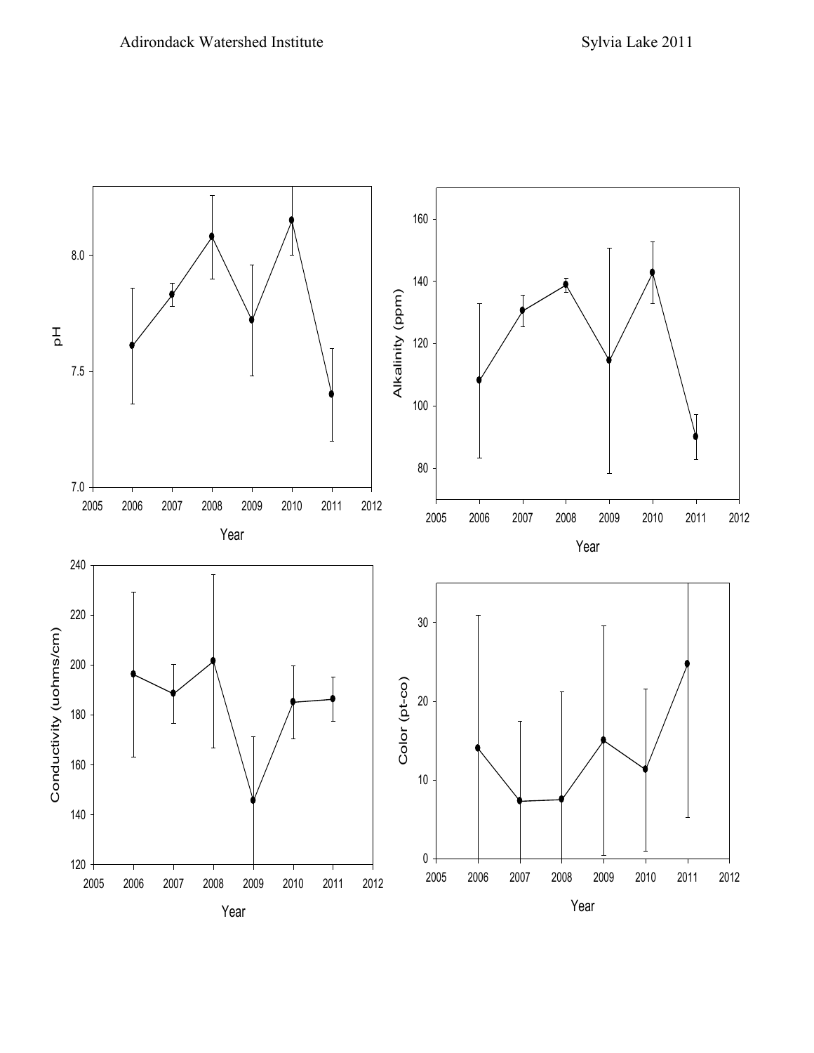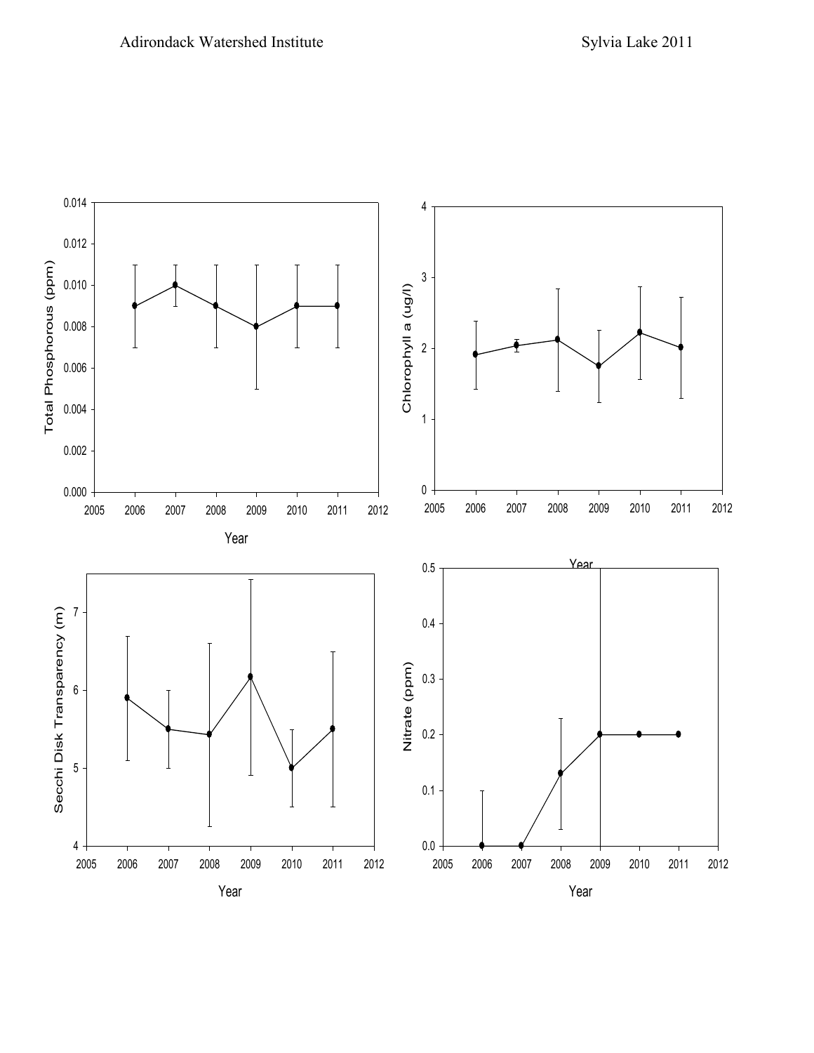